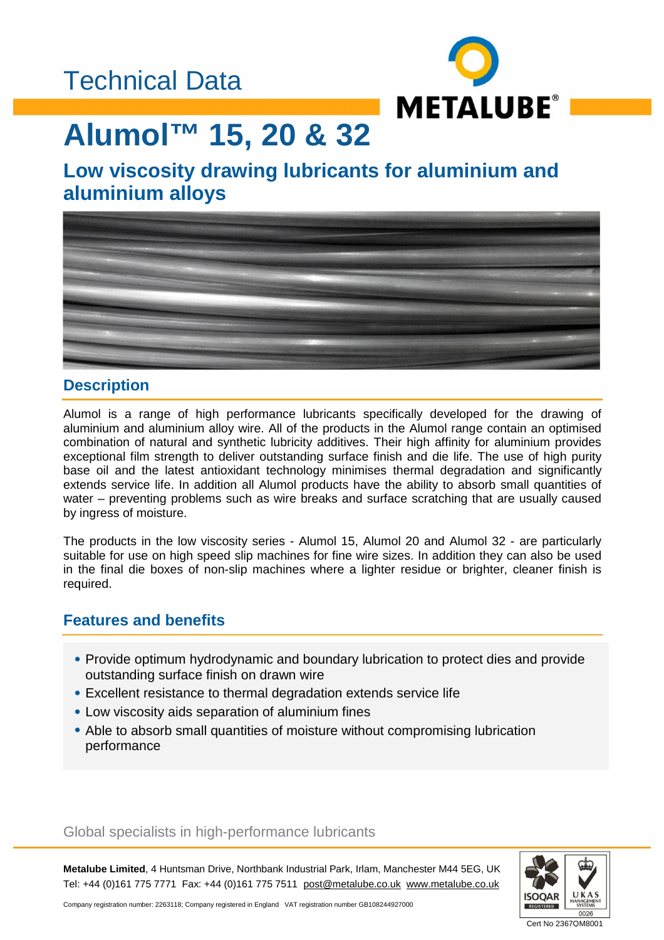### Technical Data



# **Alumol™ 15, 20 & 32**

### **Low viscosity drawing lubricants for aluminium and aluminium alloys**



### **Description**

Alumol is a range of high performance lubricants specifically developed for the drawing of aluminium and aluminium alloy wire. All of the products in the Alumol range contain an optimised combination of natural and synthetic lubricity additives. Their high affinity for aluminium provides exceptional film strength to deliver outstanding surface finish and die life. The use of high purity base oil and the latest antioxidant technology minimises thermal degradation and significantly extends service life. In addition all Alumol products have the ability to absorb small quantities of water – preventing problems such as wire breaks and surface scratching that are usually caused by ingress of moisture.

The products in the low viscosity series - Alumol 15, Alumol 20 and Alumol 32 - are particularly suitable for use on high speed slip machines for fine wire sizes. In addition they can also be used in the final die boxes of non-slip machines where a lighter residue or brighter, cleaner finish is required.

### **Features and benefits**

- Provide optimum hydrodynamic and boundary lubrication to protect dies and provide outstanding surface finish on drawn wire
- Excellent resistance to thermal degradation extends service life
- Low viscosity aids separation of aluminium fines
- Able to absorb small quantities of moisture without compromising lubrication performance

#### Global specialists in high-performance lubricants

**Metalube Limited**, 4 Huntsman Drive, Northbank Industrial Park, Irlam, Manchester M44 5EG, UK Tel: +44 (0)161 775 7771 Fax: +44 (0)161 775 7511 [post@metalube.co.uk](mailto:post@metalube.co.uk) [www.metalube.co.uk](http://www.metalube.co.uk)



Company registration number: 2263118; Company registered in England VAT registration number GB108244927000